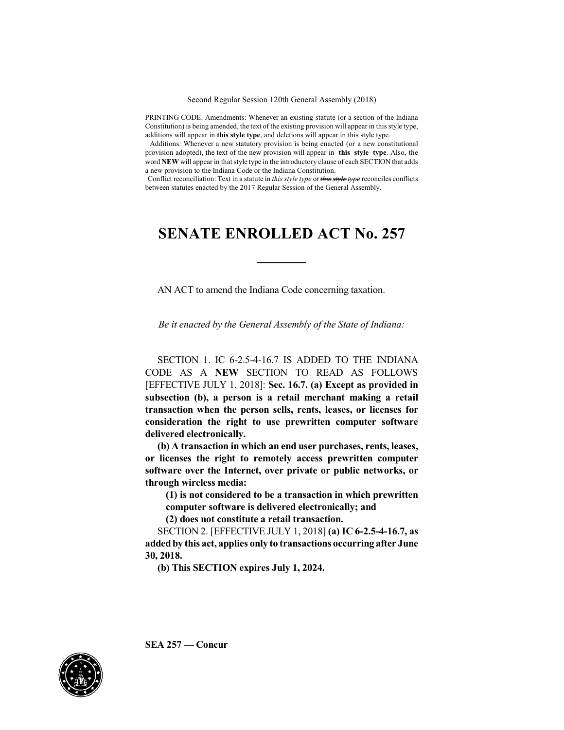PRINTING CODE. Amendments: Whenever an existing statute (or a section of the Indiana Constitution) is being amended, the text of the existing provision will appear in this style type, additions will appear in **this style type**, and deletions will appear in this style type.

Additions: Whenever a new statutory provision is being enacted (or a new constitutional provision adopted), the text of the new provision will appear in **this style type**. Also, the word **NEW** will appear in that style type in the introductory clause of each SECTION that adds a new provision to the Indiana Code or the Indiana Constitution.

Conflict reconciliation: Text in a statute in *this style type* or *this style type* reconciles conflicts between statutes enacted by the 2017 Regular Session of the General Assembly.

## **SENATE ENROLLED ACT No. 257**

AN ACT to amend the Indiana Code concerning taxation.

*Be it enacted by the General Assembly of the State of Indiana:*

SECTION 1. IC 6-2.5-4-16.7 IS ADDED TO THE INDIANA CODE AS A **NEW** SECTION TO READ AS FOLLOWS [EFFECTIVE JULY 1, 2018]: **Sec. 16.7. (a) Except as provided in subsection (b), a person is a retail merchant making a retail transaction when the person sells, rents, leases, or licenses for consideration the right to use prewritten computer software delivered electronically.**

**(b) A transaction in which an end user purchases, rents, leases, or licenses the right to remotely access prewritten computer software over the Internet, over private or public networks, or through wireless media:**

**(1) is not considered to be a transaction in which prewritten computer software is delivered electronically; and**

**(2) does not constitute a retail transaction.**

SECTION 2. [EFFECTIVE JULY 1, 2018] **(a) IC 6-2.5-4-16.7, as addedby this act, applies only to transactions occurring after June 30, 2018.**

**(b) This SECTION expires July 1, 2024.**



**SEA 257 — Concur**